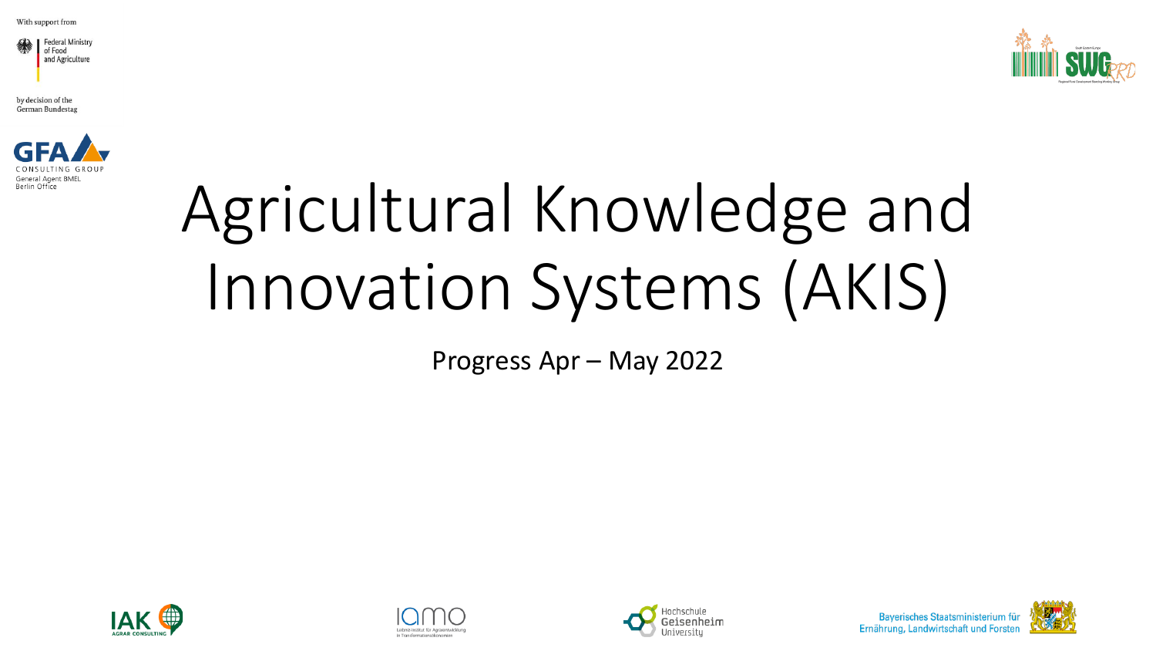



by decision of the German Bundestag



## Agricultural Knowledge and Innovation Systems (AKIS)

Progress Apr – May 2022







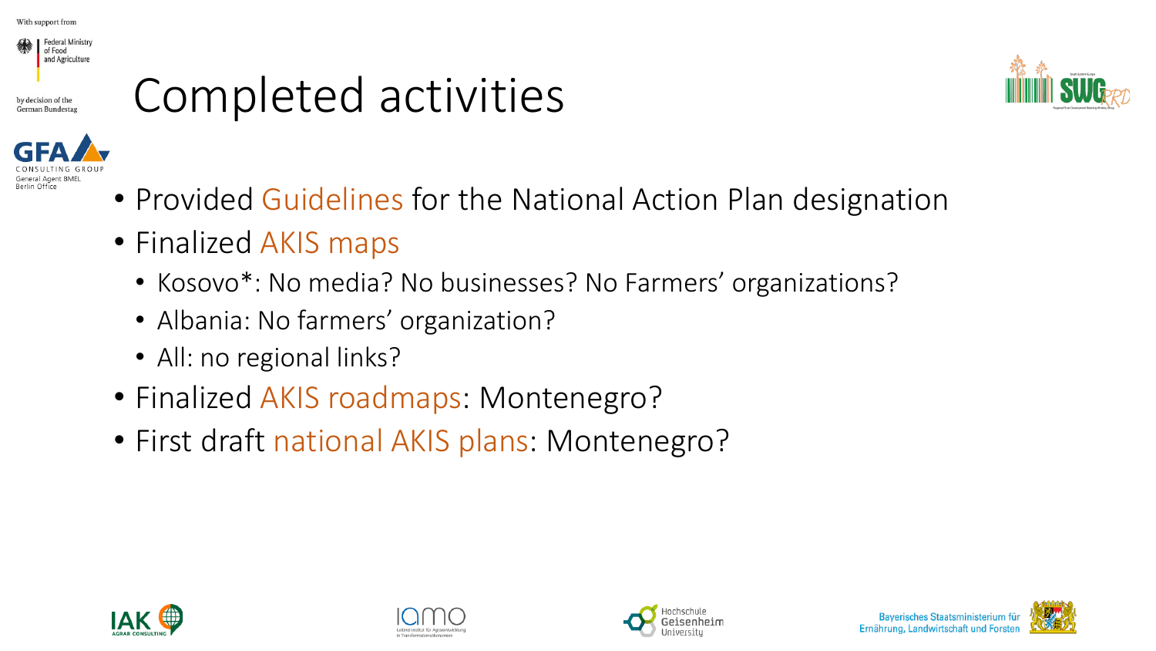

by decision of the

## Completed activities





- Finalized AKIS maps
	- Kosovo\*: No media? No businesses? No Farmers' organizations?
	- Albania: No farmers' organization?
	- All: no regional links?
- Finalized AKIS roadmaps: Montenegro?
- First draft national AKIS plans: Montenegro?







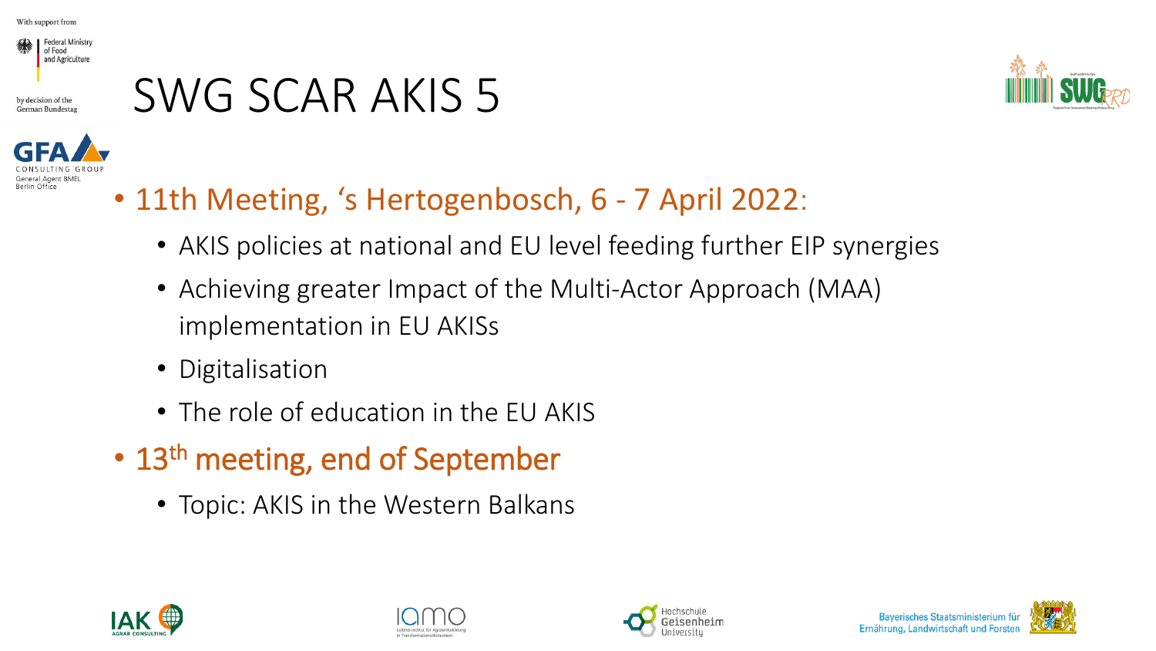

by decision of the German Bundesta

## SWG SCAR AKIS 5





- 11th Meeting, 's Hertogenbosch, 6 7 April 2022:
	- AKIS policies at national and EU level feeding further EIP synergies
	- Achieving greater Impact of the Multi-Actor Approach (MAA) implementation in EU AKISs
	- Digitalisation
	- The role of education in the EU AKIS
- 13<sup>th</sup> meeting, end of September
	- Topic: AKIS in the Western Balkans